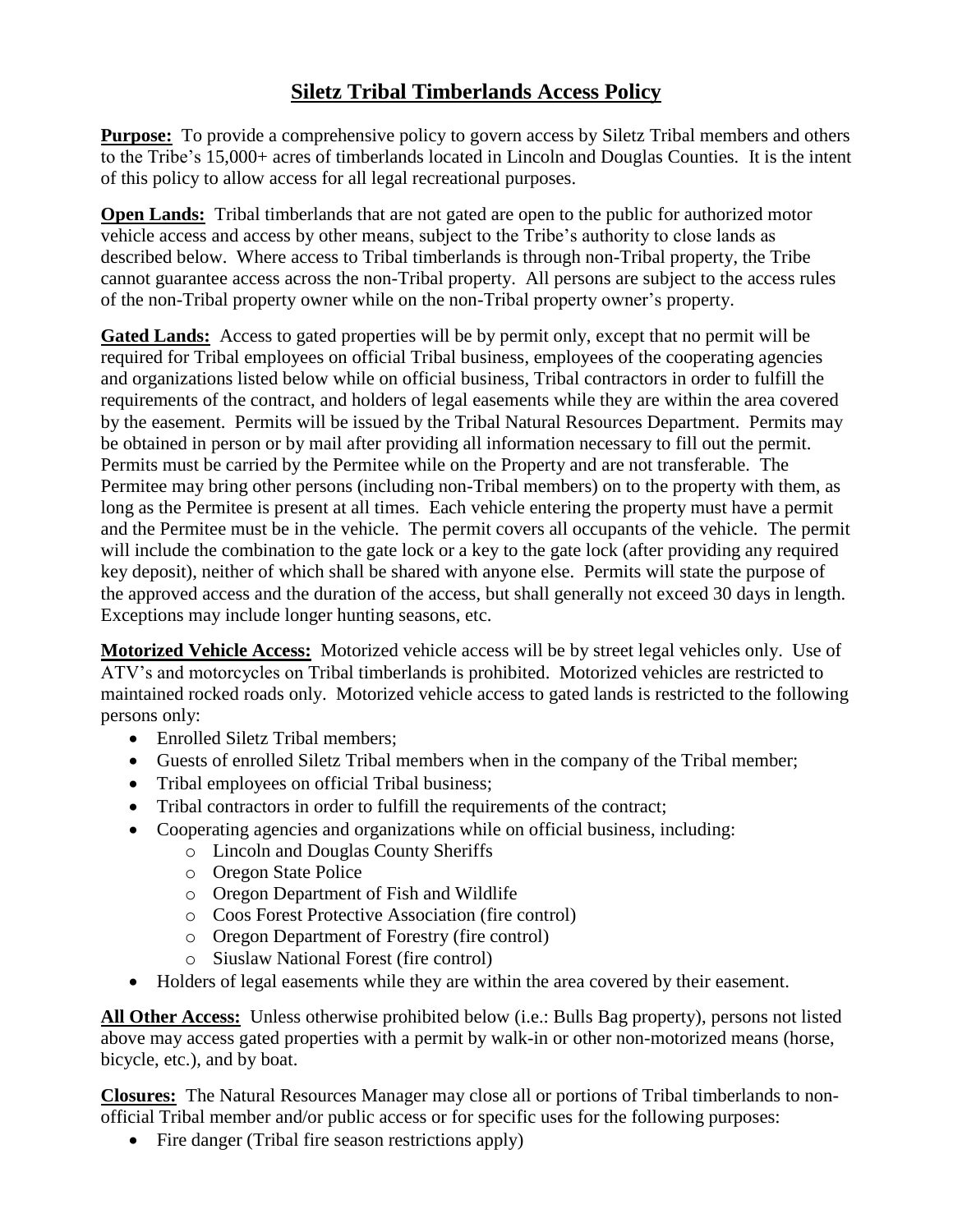## **Siletz Tribal Timberlands Access Policy**

**Purpose:** To provide a comprehensive policy to govern access by Siletz Tribal members and others to the Tribe's 15,000+ acres of timberlands located in Lincoln and Douglas Counties. It is the intent of this policy to allow access for all legal recreational purposes.

**Open Lands:** Tribal timberlands that are not gated are open to the public for authorized motor vehicle access and access by other means, subject to the Tribe's authority to close lands as described below. Where access to Tribal timberlands is through non-Tribal property, the Tribe cannot guarantee access across the non-Tribal property. All persons are subject to the access rules of the non-Tribal property owner while on the non-Tribal property owner's property.

Gated Lands: Access to gated properties will be by permit only, except that no permit will be required for Tribal employees on official Tribal business, employees of the cooperating agencies and organizations listed below while on official business, Tribal contractors in order to fulfill the requirements of the contract, and holders of legal easements while they are within the area covered by the easement. Permits will be issued by the Tribal Natural Resources Department. Permits may be obtained in person or by mail after providing all information necessary to fill out the permit. Permits must be carried by the Permitee while on the Property and are not transferable. The Permitee may bring other persons (including non-Tribal members) on to the property with them, as long as the Permitee is present at all times. Each vehicle entering the property must have a permit and the Permitee must be in the vehicle. The permit covers all occupants of the vehicle. The permit will include the combination to the gate lock or a key to the gate lock (after providing any required key deposit), neither of which shall be shared with anyone else. Permits will state the purpose of the approved access and the duration of the access, but shall generally not exceed 30 days in length. Exceptions may include longer hunting seasons, etc.

**Motorized Vehicle Access:** Motorized vehicle access will be by street legal vehicles only. Use of ATV's and motorcycles on Tribal timberlands is prohibited. Motorized vehicles are restricted to maintained rocked roads only. Motorized vehicle access to gated lands is restricted to the following persons only:

- Enrolled Siletz Tribal members;
- Guests of enrolled Siletz Tribal members when in the company of the Tribal member;
- Tribal employees on official Tribal business;
- Tribal contractors in order to fulfill the requirements of the contract;
- Cooperating agencies and organizations while on official business, including:
	- o Lincoln and Douglas County Sheriffs
	- o Oregon State Police
	- o Oregon Department of Fish and Wildlife
	- o Coos Forest Protective Association (fire control)
	- o Oregon Department of Forestry (fire control)
	- o Siuslaw National Forest (fire control)
- Holders of legal easements while they are within the area covered by their easement.

**All Other Access:** Unless otherwise prohibited below (i.e.: Bulls Bag property), persons not listed above may access gated properties with a permit by walk-in or other non-motorized means (horse, bicycle, etc.), and by boat.

**Closures:** The Natural Resources Manager may close all or portions of Tribal timberlands to nonofficial Tribal member and/or public access or for specific uses for the following purposes:

• Fire danger (Tribal fire season restrictions apply)